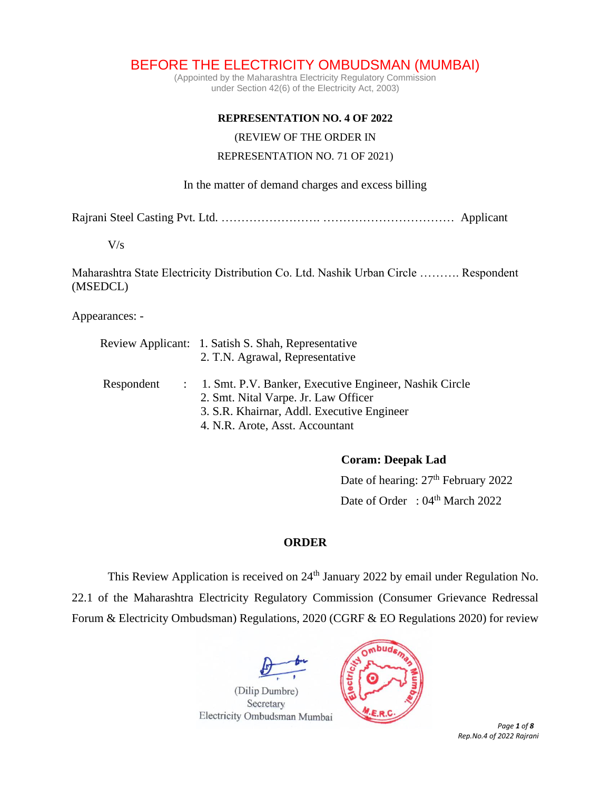BEFORE THE ELECTRICITY OMBUDSMAN (MUMBAI)

(Appointed by the Maharashtra Electricity Regulatory Commission under Section 42(6) of the Electricity Act, 2003)

## **REPRESENTATION NO. 4 OF 2022**

(REVIEW OF THE ORDER IN

## REPRESENTATION NO. 71 OF 2021)

## In the matter of demand charges and excess billing

Rajrani Steel Casting Pvt. Ltd. ……………………. …………………………… Applicant

### V/s

Maharashtra State Electricity Distribution Co. Ltd. Nashik Urban Circle ………. Respondent (MSEDCL)

Appearances: -

|            |  | Review Applicant: 1. Satish S. Shah, Representative                                              |  |
|------------|--|--------------------------------------------------------------------------------------------------|--|
|            |  | 2. T.N. Agrawal, Representative                                                                  |  |
| Respondent |  | : 1. Smt. P.V. Banker, Executive Engineer, Nashik Circle<br>2. Smt. Nital Varpe. Jr. Law Officer |  |
|            |  | 3. S.R. Khairnar, Addl. Executive Engineer                                                       |  |
|            |  | 4. N.R. Arote, Asst. Accountant                                                                  |  |

# **Coram: Deepak Lad**

Date of hearing:  $27<sup>th</sup>$  February 2022 Date of Order : 04<sup>th</sup> March 2022

# **ORDER**

This Review Application is received on 24<sup>th</sup> January 2022 by email under Regulation No. 22.1 of the Maharashtra Electricity Regulatory Commission (Consumer Grievance Redressal Forum & Electricity Ombudsman) Regulations, 2020 (CGRF & EO Regulations 2020) for review



 *Page 1 of 8 Rep.No.4 of 2022 Rajrani*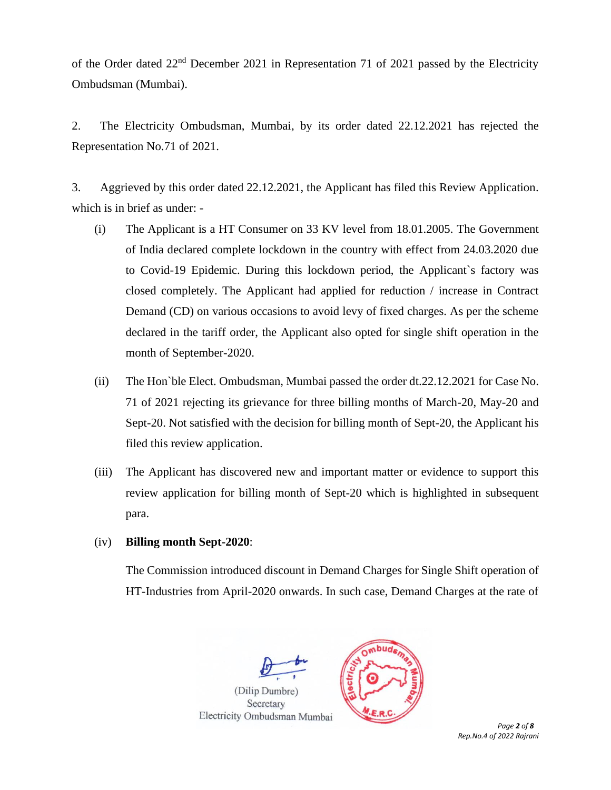of the Order dated 22nd December 2021 in Representation 71 of 2021 passed by the Electricity Ombudsman (Mumbai).

2. The Electricity Ombudsman, Mumbai, by its order dated 22.12.2021 has rejected the Representation No.71 of 2021.

3. Aggrieved by this order dated 22.12.2021, the Applicant has filed this Review Application. which is in brief as under: -

- (i) The Applicant is a HT Consumer on 33 KV level from 18.01.2005. The Government of India declared complete lockdown in the country with effect from 24.03.2020 due to Covid-19 Epidemic. During this lockdown period, the Applicant`s factory was closed completely. The Applicant had applied for reduction / increase in Contract Demand (CD) on various occasions to avoid levy of fixed charges. As per the scheme declared in the tariff order, the Applicant also opted for single shift operation in the month of September-2020.
- (ii) The Hon`ble Elect. Ombudsman, Mumbai passed the order dt.22.12.2021 for Case No. 71 of 2021 rejecting its grievance for three billing months of March-20, May-20 and Sept-20. Not satisfied with the decision for billing month of Sept-20, the Applicant his filed this review application.
- (iii) The Applicant has discovered new and important matter or evidence to support this review application for billing month of Sept-20 which is highlighted in subsequent para.

# (iv) **Billing month Sept-2020**:

The Commission introduced discount in Demand Charges for Single Shift operation of HT-Industries from April-2020 onwards. In such case, Demand Charges at the rate of



 *Page 2 of 8 Rep.No.4 of 2022 Rajrani*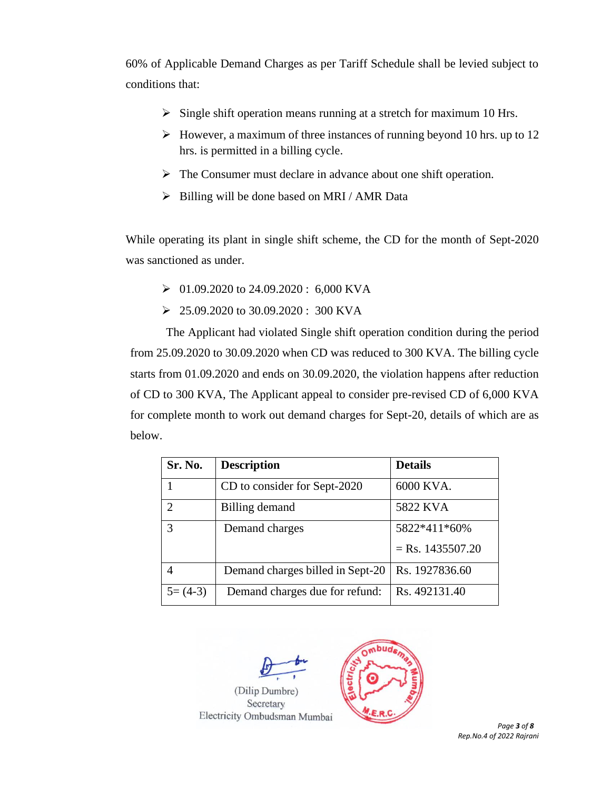60% of Applicable Demand Charges as per Tariff Schedule shall be levied subject to conditions that:

- $\triangleright$  Single shift operation means running at a stretch for maximum 10 Hrs.
- ➢ However, a maximum of three instances of running beyond 10 hrs. up to 12 hrs. is permitted in a billing cycle.
- ➢ The Consumer must declare in advance about one shift operation.
- $\triangleright$  Billing will be done based on MRI / AMR Data

While operating its plant in single shift scheme, the CD for the month of Sept-2020 was sanctioned as under.

- $\geq 01.09.2020$  to 24.09.2020 : 6,000 KVA
- ➢ 25.09.2020 to 30.09.2020 : 300 KVA

The Applicant had violated Single shift operation condition during the period from 25.09.2020 to 30.09.2020 when CD was reduced to 300 KVA. The billing cycle starts from 01.09.2020 and ends on 30.09.2020, the violation happens after reduction of CD to 300 KVA, The Applicant appeal to consider pre-revised CD of 6,000 KVA for complete month to work out demand charges for Sept-20, details of which are as below.

| Sr. No.                     | <b>Description</b>               | <b>Details</b>     |
|-----------------------------|----------------------------------|--------------------|
|                             | CD to consider for Sept-2020     | 6000 KVA.          |
| $\mathcal{D}_{\mathcal{A}}$ | Billing demand                   | 5822 KVA           |
| 3                           | Demand charges                   | 5822*411*60%       |
|                             |                                  | $=$ Rs. 1435507.20 |
| 4                           | Demand charges billed in Sept-20 | Rs. 1927836.60     |
| $5=(4-3)$                   | Demand charges due for refund:   | Rs. 492131.40      |



Secretary Electricity Ombudsman Mumbai



*Rep.No.4 of 2022 Rajrani*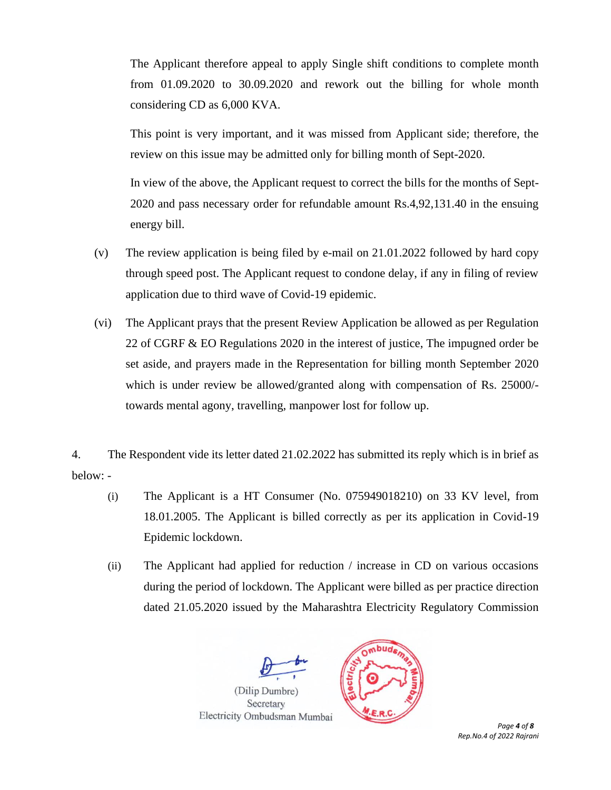The Applicant therefore appeal to apply Single shift conditions to complete month from 01.09.2020 to 30.09.2020 and rework out the billing for whole month considering CD as 6,000 KVA.

This point is very important, and it was missed from Applicant side; therefore, the review on this issue may be admitted only for billing month of Sept-2020.

In view of the above, the Applicant request to correct the bills for the months of Sept-2020 and pass necessary order for refundable amount Rs.4,92,131.40 in the ensuing energy bill.

- (v) The review application is being filed by e-mail on 21.01.2022 followed by hard copy through speed post. The Applicant request to condone delay, if any in filing of review application due to third wave of Covid-19 epidemic.
- (vi) The Applicant prays that the present Review Application be allowed as per Regulation 22 of CGRF & EO Regulations 2020 in the interest of justice, The impugned order be set aside, and prayers made in the Representation for billing month September 2020 which is under review be allowed/granted along with compensation of Rs. 25000/ towards mental agony, travelling, manpower lost for follow up.
- 4. The Respondent vide its letter dated 21.02.2022 has submitted its reply which is in brief as below: -
	- (i) The Applicant is a HT Consumer (No. 075949018210) on 33 KV level, from 18.01.2005. The Applicant is billed correctly as per its application in Covid-19 Epidemic lockdown.
	- (ii) The Applicant had applied for reduction / increase in CD on various occasions during the period of lockdown. The Applicant were billed as per practice direction dated 21.05.2020 issued by the Maharashtra Electricity Regulatory Commission



 *Page 4 of 8 Rep.No.4 of 2022 Rajrani*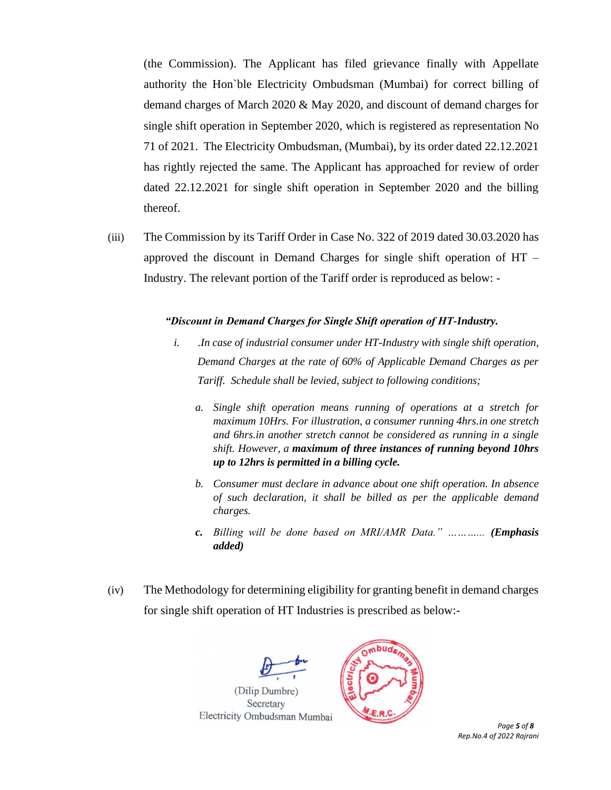(the Commission). The Applicant has filed grievance finally with Appellate authority the Hon`ble Electricity Ombudsman (Mumbai) for correct billing of demand charges of March 2020 & May 2020, and discount of demand charges for single shift operation in September 2020, which is registered as representation No 71 of 2021. The Electricity Ombudsman, (Mumbai), by its order dated 22.12.2021 has rightly rejected the same. The Applicant has approached for review of order dated 22.12.2021 for single shift operation in September 2020 and the billing thereof.

(iii) The Commission by its Tariff Order in Case No. 322 of 2019 dated 30.03.2020 has approved the discount in Demand Charges for single shift operation of HT – Industry. The relevant portion of the Tariff order is reproduced as below: -

#### *"Discount in Demand Charges for Single Shift operation of HT-Industry.*

- *i. .In case of industrial consumer under HT-Industry with single shift operation, Demand Charges at the rate of 60% of Applicable Demand Charges as per Tariff. Schedule shall be levied, subject to following conditions;*
	- *a. Single shift operation means running of operations at a stretch for maximum 10Hrs. For illustration, a consumer running 4hrs.in one stretch and 6hrs.in another stretch cannot be considered as running in a single shift. However, a maximum of three instances of running beyond 10hrs up to 12hrs is permitted in a billing cycle.*
	- *b. Consumer must declare in advance about one shift operation. In absence of such declaration, it shall be billed as per the applicable demand charges.*
	- *c. Billing will be done based on MRI/AMR Data." ………... (Emphasis added)*
- (iv) The Methodology for determining eligibility for granting benefit in demand charges for single shift operation of HT Industries is prescribed as below:-



 *Page 5 of 8 Rep.No.4 of 2022 Rajrani*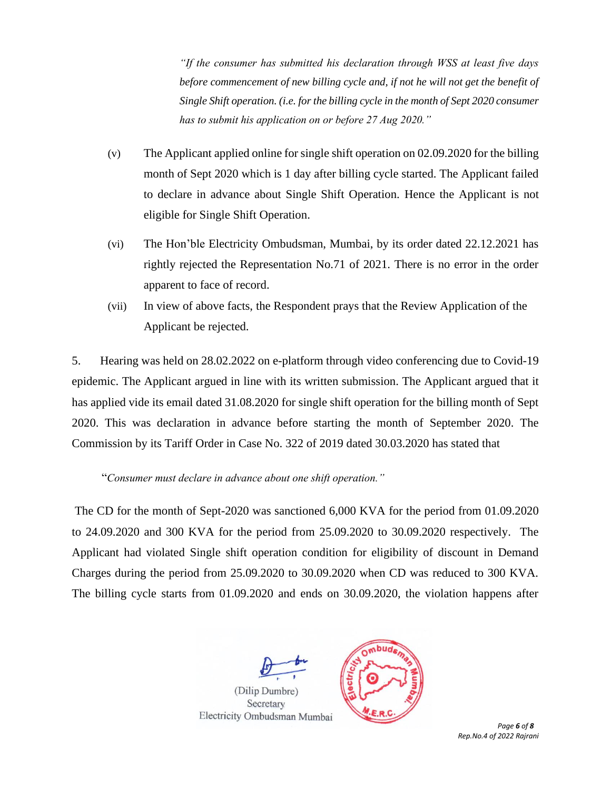*"If the consumer has submitted his declaration through WSS at least five days before commencement of new billing cycle and, if not he will not get the benefit of Single Shift operation. (i.e. for the billing cycle in the month of Sept 2020 consumer has to submit his application on or before 27 Aug 2020."*

- (v) The Applicant applied online for single shift operation on 02.09.2020 for the billing month of Sept 2020 which is 1 day after billing cycle started. The Applicant failed to declare in advance about Single Shift Operation. Hence the Applicant is not eligible for Single Shift Operation.
- (vi) The Hon'ble Electricity Ombudsman, Mumbai, by its order dated 22.12.2021 has rightly rejected the Representation No.71 of 2021. There is no error in the order apparent to face of record.
- (vii) In view of above facts, the Respondent prays that the Review Application of the Applicant be rejected.

5. Hearing was held on 28.02.2022 on e-platform through video conferencing due to Covid-19 epidemic. The Applicant argued in line with its written submission. The Applicant argued that it has applied vide its email dated 31.08.2020 for single shift operation for the billing month of Sept 2020. This was declaration in advance before starting the month of September 2020. The Commission by its Tariff Order in Case No. 322 of 2019 dated 30.03.2020 has stated that

"*Consumer must declare in advance about one shift operation."*

The CD for the month of Sept-2020 was sanctioned 6,000 KVA for the period from 01.09.2020 to 24.09.2020 and 300 KVA for the period from 25.09.2020 to 30.09.2020 respectively. The Applicant had violated Single shift operation condition for eligibility of discount in Demand Charges during the period from 25.09.2020 to 30.09.2020 when CD was reduced to 300 KVA. The billing cycle starts from 01.09.2020 and ends on 30.09.2020, the violation happens after



 *Page 6 of 8 Rep.No.4 of 2022 Rajrani*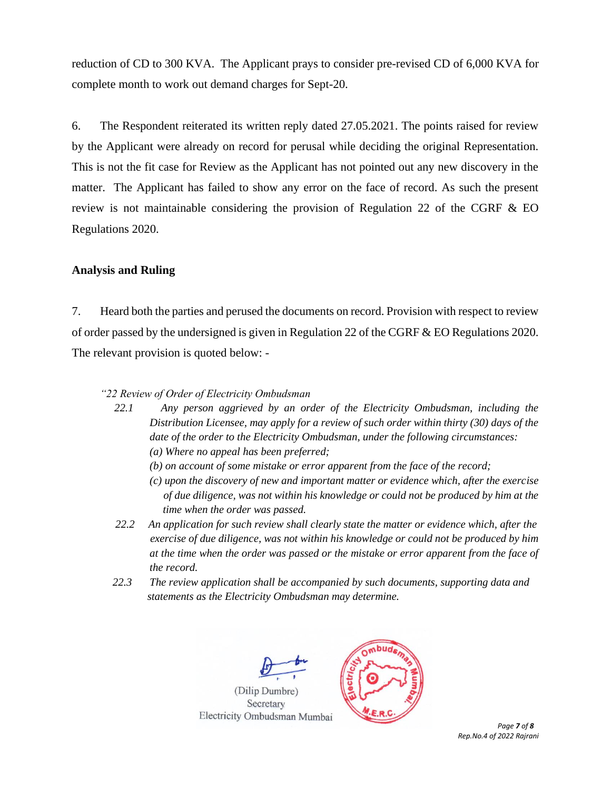reduction of CD to 300 KVA. The Applicant prays to consider pre-revised CD of 6,000 KVA for complete month to work out demand charges for Sept-20.

6. The Respondent reiterated its written reply dated 27.05.2021. The points raised for review by the Applicant were already on record for perusal while deciding the original Representation. This is not the fit case for Review as the Applicant has not pointed out any new discovery in the matter. The Applicant has failed to show any error on the face of record. As such the present review is not maintainable considering the provision of Regulation 22 of the CGRF  $\&$  EO Regulations 2020.

#### **Analysis and Ruling**

7. Heard both the parties and perused the documents on record. Provision with respect to review of order passed by the undersigned is given in Regulation 22 of the CGRF & EO Regulations 2020. The relevant provision is quoted below: -

#### *"22 Review of Order of Electricity Ombudsman*

- *22.1 Any person aggrieved by an order of the Electricity Ombudsman, including the Distribution Licensee, may apply for a review of such order within thirty (30) days of the date of the order to the Electricity Ombudsman, under the following circumstances:* 
	- *(a) Where no appeal has been preferred;*
	- *(b) on account of some mistake or error apparent from the face of the record;*
	- *(c) upon the discovery of new and important matter or evidence which, after the exercise of due diligence, was not within his knowledge or could not be produced by him at the time when the order was passed.*
- *22.2 An application for such review shall clearly state the matter or evidence which, after the exercise of due diligence, was not within his knowledge or could not be produced by him at the time when the order was passed or the mistake or error apparent from the face of the record.*
- *22.3 The review application shall be accompanied by such documents, supporting data and statements as the Electricity Ombudsman may determine.*



 *Page 7 of 8 Rep.No.4 of 2022 Rajrani*